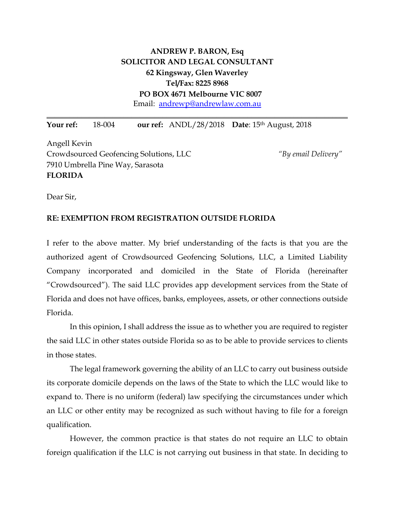## **ANDREW P. BARON, Esq SOLICITOR AND LEGAL CONSULTANT 62 Kingsway, Glen Waverley Tel/Fax: 8225 8968 PO BOX 4671 Melbourne VIC 8007**  Email: andrewp@andrewlaw.com.au

**\_\_\_\_\_\_\_\_\_\_\_\_\_\_\_\_\_\_\_\_\_\_\_\_\_\_\_\_\_\_\_\_\_\_\_\_\_\_\_\_\_\_\_\_\_\_\_\_\_\_\_\_\_\_\_\_\_\_\_\_\_\_\_\_\_\_\_\_\_\_\_\_\_\_\_\_\_\_**

**Your ref:** 18-004 **our ref:** ANDL/28/2018 **Date**: 15th August, 2018

Angell Kevin Crowdsourced Geofencing Solutions, LLC *"By email Delivery"* 7910 Umbrella Pine Way, Sarasota **FLORIDA**

Dear Sir,

## **RE: EXEMPTION FROM REGISTRATION OUTSIDE FLORIDA**

I refer to the above matter. My brief understanding of the facts is that you are the authorized agent of Crowdsourced Geofencing Solutions, LLC, a Limited Liability Company incorporated and domiciled in the State of Florida (hereinafter "Crowdsourced"). The said LLC provides app development services from the State of Florida and does not have offices, banks, employees, assets, or other connections outside Florida.

In this opinion, I shall address the issue as to whether you are required to register the said LLC in other states outside Florida so as to be able to provide services to clients in those states.

The legal framework governing the ability of an LLC to carry out business outside its corporate domicile depends on the laws of the State to which the LLC would like to expand to. There is no uniform (federal) law specifying the circumstances under which an LLC or other entity may be recognized as such without having to file for a foreign qualification.

However, the common practice is that states do not require an LLC to obtain foreign qualification if the LLC is not carrying out business in that state. In deciding to